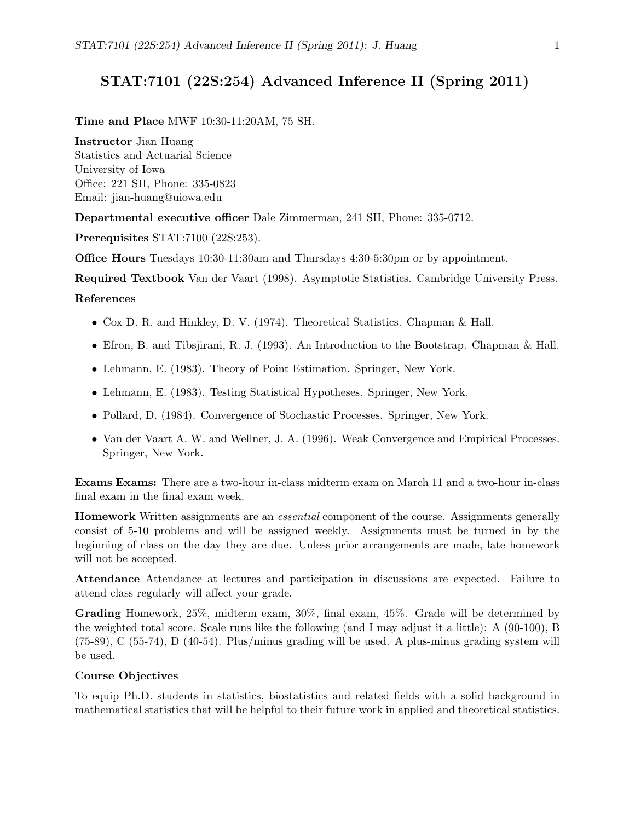# STAT:7101 (22S:254) Advanced Inference II (Spring 2011)

Time and Place MWF 10:30-11:20AM, 75 SH.

### Instructor Jian Huang

Statistics and Actuarial Science University of Iowa Office: 221 SH, Phone: 335-0823 Email: jian-huang@uiowa.edu

Departmental executive officer Dale Zimmerman, 241 SH, Phone: 335-0712.

Prerequisites STAT:7100 (22S:253).

Office Hours Tuesdays 10:30-11:30am and Thursdays 4:30-5:30pm or by appointment.

Required Textbook Van der Vaart (1998). Asymptotic Statistics. Cambridge University Press.

### References

- Cox D. R. and Hinkley, D. V. (1974). Theoretical Statistics. Chapman & Hall.
- Efron, B. and Tibsjirani, R. J. (1993). An Introduction to the Bootstrap. Chapman & Hall.
- Lehmann, E. (1983). Theory of Point Estimation. Springer, New York.
- Lehmann, E. (1983). Testing Statistical Hypotheses. Springer, New York.
- Pollard, D. (1984). Convergence of Stochastic Processes. Springer, New York.
- Van der Vaart A. W. and Wellner, J. A. (1996). Weak Convergence and Empirical Processes. Springer, New York.

Exams Exams: There are a two-hour in-class midterm exam on March 11 and a two-hour in-class final exam in the final exam week.

Homework Written assignments are an essential component of the course. Assignments generally consist of 5-10 problems and will be assigned weekly. Assignments must be turned in by the beginning of class on the day they are due. Unless prior arrangements are made, late homework will not be accepted.

Attendance Attendance at lectures and participation in discussions are expected. Failure to attend class regularly will affect your grade.

Grading Homework, 25%, midterm exam, 30%, final exam, 45%. Grade will be determined by the weighted total score. Scale runs like the following (and I may adjust it a little): A (90-100), B (75-89), C (55-74), D (40-54). Plus/minus grading will be used. A plus-minus grading system will be used.

#### Course Objectives

To equip Ph.D. students in statistics, biostatistics and related fields with a solid background in mathematical statistics that will be helpful to their future work in applied and theoretical statistics.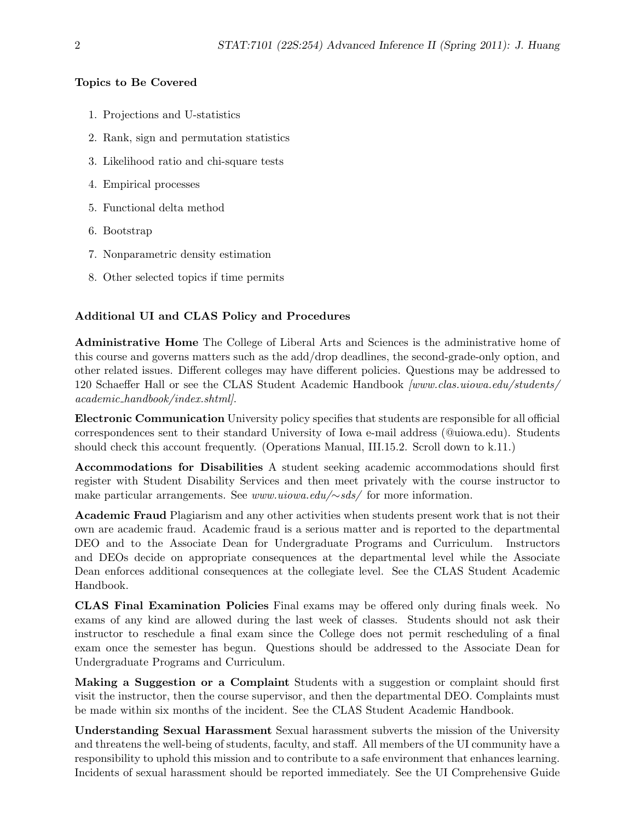## Topics to Be Covered

- 1. Projections and U-statistics
- 2. Rank, sign and permutation statistics
- 3. Likelihood ratio and chi-square tests
- 4. Empirical processes
- 5. Functional delta method
- 6. Bootstrap
- 7. Nonparametric density estimation
- 8. Other selected topics if time permits

# Additional UI and CLAS Policy and Procedures

Administrative Home The College of Liberal Arts and Sciences is the administrative home of this course and governs matters such as the add/drop deadlines, the second-grade-only option, and other related issues. Different colleges may have different policies. Questions may be addressed to 120 Schaeffer Hall or see the CLAS Student Academic Handbook [www.clas.uiowa.edu/students/ academic handbook/index.shtml].

Electronic Communication University policy specifies that students are responsible for all official correspondences sent to their standard University of Iowa e-mail address (@uiowa.edu). Students should check this account frequently. (Operations Manual, III.15.2. Scroll down to k.11.)

Accommodations for Disabilities A student seeking academic accommodations should first register with Student Disability Services and then meet privately with the course instructor to make particular arrangements. See www.uiowa.edu/∼sds/ for more information.

Academic Fraud Plagiarism and any other activities when students present work that is not their own are academic fraud. Academic fraud is a serious matter and is reported to the departmental DEO and to the Associate Dean for Undergraduate Programs and Curriculum. Instructors and DEOs decide on appropriate consequences at the departmental level while the Associate Dean enforces additional consequences at the collegiate level. See the CLAS Student Academic Handbook.

CLAS Final Examination Policies Final exams may be offered only during finals week. No exams of any kind are allowed during the last week of classes. Students should not ask their instructor to reschedule a final exam since the College does not permit rescheduling of a final exam once the semester has begun. Questions should be addressed to the Associate Dean for Undergraduate Programs and Curriculum.

Making a Suggestion or a Complaint Students with a suggestion or complaint should first visit the instructor, then the course supervisor, and then the departmental DEO. Complaints must be made within six months of the incident. See the CLAS Student Academic Handbook.

Understanding Sexual Harassment Sexual harassment subverts the mission of the University and threatens the well-being of students, faculty, and staff. All members of the UI community have a responsibility to uphold this mission and to contribute to a safe environment that enhances learning. Incidents of sexual harassment should be reported immediately. See the UI Comprehensive Guide